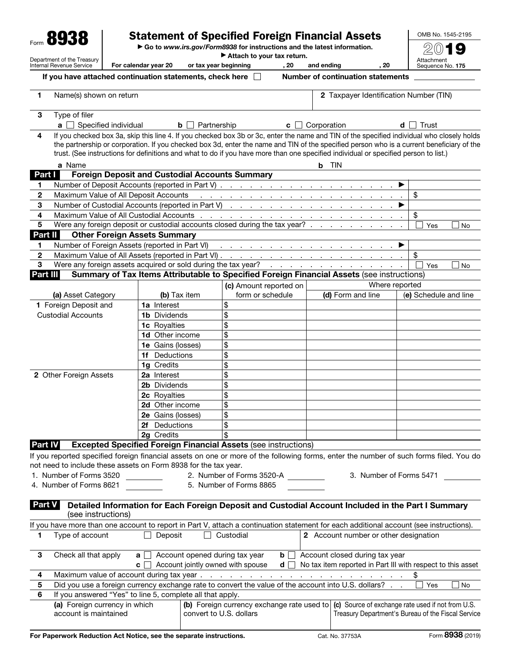|                                                                                                                                                                                                                                 | Form 8938                                                                                  |                                                                                                                                                                                                                                              |                                                                         | <b>Statement of Specified Foreign Financial Assets</b>                                                                                                                                                                                                                            |              |                                                                                               |            | OMB No. 1545-2195     |      |
|---------------------------------------------------------------------------------------------------------------------------------------------------------------------------------------------------------------------------------|--------------------------------------------------------------------------------------------|----------------------------------------------------------------------------------------------------------------------------------------------------------------------------------------------------------------------------------------------|-------------------------------------------------------------------------|-----------------------------------------------------------------------------------------------------------------------------------------------------------------------------------------------------------------------------------------------------------------------------------|--------------|-----------------------------------------------------------------------------------------------|------------|-----------------------|------|
|                                                                                                                                                                                                                                 |                                                                                            |                                                                                                                                                                                                                                              | Go to www.irs.gov/Form8938 for instructions and the latest information. |                                                                                                                                                                                                                                                                                   |              |                                                                                               |            |                       |      |
| Department of the Treasury                                                                                                                                                                                                      |                                                                                            |                                                                                                                                                                                                                                              | Attach to your tax return.                                              |                                                                                                                                                                                                                                                                                   |              |                                                                                               | Attachment |                       |      |
|                                                                                                                                                                                                                                 | Internal Revenue Service                                                                   | For calendar year 20                                                                                                                                                                                                                         | or tax year beginning                                                   | , 20                                                                                                                                                                                                                                                                              | and ending   | , 20                                                                                          |            | Sequence No. 175      |      |
|                                                                                                                                                                                                                                 | If you have attached continuation statements, check here $\Box$                            |                                                                                                                                                                                                                                              |                                                                         |                                                                                                                                                                                                                                                                                   |              | <b>Number of continuation statements</b>                                                      |            |                       |      |
| 1                                                                                                                                                                                                                               | Name(s) shown on return                                                                    |                                                                                                                                                                                                                                              |                                                                         |                                                                                                                                                                                                                                                                                   |              | 2 Taxpayer Identification Number (TIN)                                                        |            |                       |      |
| 3                                                                                                                                                                                                                               | Type of filer                                                                              |                                                                                                                                                                                                                                              |                                                                         |                                                                                                                                                                                                                                                                                   |              |                                                                                               |            |                       |      |
|                                                                                                                                                                                                                                 |                                                                                            | $\mathbf{a} \Box$ Specified individual<br>Partnership<br>Corporation<br>b<br>d<br>$\mathbf{c}$<br>If you checked box 3a, skip this line 4. If you checked box 3b or 3c, enter the name and TIN of the specified individual who closely holds |                                                                         |                                                                                                                                                                                                                                                                                   |              |                                                                                               |            | Trust                 |      |
| 4                                                                                                                                                                                                                               |                                                                                            |                                                                                                                                                                                                                                              |                                                                         | the partnership or corporation. If you checked box 3d, enter the name and TIN of the specified person who is a current beneficiary of the<br>trust. (See instructions for definitions and what to do if you have more than one specified individual or specified person to list.) |              |                                                                                               |            |                       |      |
|                                                                                                                                                                                                                                 | a Name                                                                                     |                                                                                                                                                                                                                                              |                                                                         |                                                                                                                                                                                                                                                                                   | <b>b</b> TIN |                                                                                               |            |                       |      |
| Part I                                                                                                                                                                                                                          |                                                                                            | <b>Foreign Deposit and Custodial Accounts Summary</b>                                                                                                                                                                                        |                                                                         |                                                                                                                                                                                                                                                                                   |              |                                                                                               |            |                       |      |
| 1                                                                                                                                                                                                                               |                                                                                            |                                                                                                                                                                                                                                              |                                                                         |                                                                                                                                                                                                                                                                                   |              |                                                                                               |            |                       |      |
| $\mathbf{2}$                                                                                                                                                                                                                    | Maximum Value of All Deposit Accounts                                                      |                                                                                                                                                                                                                                              |                                                                         | والمتعاون والمتعاون والمتعاون والمتعاون والمتعاون والمتعاون والمتعاون والمتعاون                                                                                                                                                                                                   |              |                                                                                               |            | \$                    |      |
| 3                                                                                                                                                                                                                               |                                                                                            |                                                                                                                                                                                                                                              |                                                                         |                                                                                                                                                                                                                                                                                   |              |                                                                                               |            |                       |      |
| 4                                                                                                                                                                                                                               |                                                                                            |                                                                                                                                                                                                                                              |                                                                         |                                                                                                                                                                                                                                                                                   |              |                                                                                               |            | \$                    |      |
| 5                                                                                                                                                                                                                               |                                                                                            |                                                                                                                                                                                                                                              |                                                                         | Were any foreign deposit or custodial accounts closed during the tax year?                                                                                                                                                                                                        |              |                                                                                               |            | Yes                   | No   |
| Part II                                                                                                                                                                                                                         |                                                                                            | <b>Other Foreign Assets Summary</b>                                                                                                                                                                                                          |                                                                         |                                                                                                                                                                                                                                                                                   |              |                                                                                               |            |                       |      |
| 1                                                                                                                                                                                                                               | Number of Foreign Assets (reported in Part VI)                                             |                                                                                                                                                                                                                                              |                                                                         | . The contract of the contract of the contract of $\blacktriangleright$                                                                                                                                                                                                           |              |                                                                                               |            |                       |      |
| $\mathbf{2}$                                                                                                                                                                                                                    |                                                                                            |                                                                                                                                                                                                                                              |                                                                         |                                                                                                                                                                                                                                                                                   |              |                                                                                               |            | \$                    |      |
| 3<br>Part III                                                                                                                                                                                                                   |                                                                                            |                                                                                                                                                                                                                                              |                                                                         | Summary of Tax Items Attributable to Specified Foreign Financial Assets (see instructions)                                                                                                                                                                                        |              |                                                                                               |            | Yes                   | No   |
|                                                                                                                                                                                                                                 |                                                                                            |                                                                                                                                                                                                                                              |                                                                         |                                                                                                                                                                                                                                                                                   |              |                                                                                               |            |                       |      |
|                                                                                                                                                                                                                                 |                                                                                            |                                                                                                                                                                                                                                              |                                                                         | (c) Amount reported on<br>form or schedule                                                                                                                                                                                                                                        |              | Where reported                                                                                |            | (e) Schedule and line |      |
|                                                                                                                                                                                                                                 | (a) Asset Category                                                                         | (b) Tax item                                                                                                                                                                                                                                 |                                                                         |                                                                                                                                                                                                                                                                                   |              | (d) Form and line                                                                             |            |                       |      |
|                                                                                                                                                                                                                                 | 1 Foreign Deposit and                                                                      | <b>1a</b> Interest                                                                                                                                                                                                                           |                                                                         | \$                                                                                                                                                                                                                                                                                |              |                                                                                               |            |                       |      |
|                                                                                                                                                                                                                                 | <b>Custodial Accounts</b>                                                                  | <b>1b</b> Dividends                                                                                                                                                                                                                          |                                                                         | \$                                                                                                                                                                                                                                                                                |              |                                                                                               |            |                       |      |
|                                                                                                                                                                                                                                 |                                                                                            | 1c Royalties                                                                                                                                                                                                                                 |                                                                         | \$                                                                                                                                                                                                                                                                                |              |                                                                                               |            |                       |      |
|                                                                                                                                                                                                                                 |                                                                                            | 1d Other income                                                                                                                                                                                                                              |                                                                         | \$                                                                                                                                                                                                                                                                                |              |                                                                                               |            |                       |      |
|                                                                                                                                                                                                                                 |                                                                                            | 1e Gains (losses)                                                                                                                                                                                                                            |                                                                         | \$                                                                                                                                                                                                                                                                                |              |                                                                                               |            |                       |      |
|                                                                                                                                                                                                                                 |                                                                                            | 1f Deductions                                                                                                                                                                                                                                |                                                                         | \$                                                                                                                                                                                                                                                                                |              |                                                                                               |            |                       |      |
|                                                                                                                                                                                                                                 |                                                                                            | 1g Credits                                                                                                                                                                                                                                   |                                                                         | \$                                                                                                                                                                                                                                                                                |              |                                                                                               |            |                       |      |
|                                                                                                                                                                                                                                 | 2 Other Foreign Assets                                                                     | 2a Interest                                                                                                                                                                                                                                  |                                                                         | \$                                                                                                                                                                                                                                                                                |              |                                                                                               |            |                       |      |
|                                                                                                                                                                                                                                 |                                                                                            | 2b Dividends                                                                                                                                                                                                                                 |                                                                         | \$                                                                                                                                                                                                                                                                                |              |                                                                                               |            |                       |      |
|                                                                                                                                                                                                                                 |                                                                                            | 2c Royalties                                                                                                                                                                                                                                 |                                                                         | \$                                                                                                                                                                                                                                                                                |              |                                                                                               |            |                       |      |
|                                                                                                                                                                                                                                 |                                                                                            | 2d Other income                                                                                                                                                                                                                              |                                                                         | \$                                                                                                                                                                                                                                                                                |              |                                                                                               |            |                       |      |
|                                                                                                                                                                                                                                 |                                                                                            | 2e Gains (losses)                                                                                                                                                                                                                            |                                                                         | \$                                                                                                                                                                                                                                                                                |              |                                                                                               |            |                       |      |
|                                                                                                                                                                                                                                 |                                                                                            | Deductions<br>2f.                                                                                                                                                                                                                            |                                                                         | \$                                                                                                                                                                                                                                                                                |              |                                                                                               |            |                       |      |
|                                                                                                                                                                                                                                 |                                                                                            | 2g Credits                                                                                                                                                                                                                                   |                                                                         | \$                                                                                                                                                                                                                                                                                |              |                                                                                               |            |                       |      |
| Part IV                                                                                                                                                                                                                         |                                                                                            |                                                                                                                                                                                                                                              |                                                                         | <b>Excepted Specified Foreign Financial Assets (see instructions)</b>                                                                                                                                                                                                             |              |                                                                                               |            |                       |      |
|                                                                                                                                                                                                                                 | not need to include these assets on Form 8938 for the tax year.<br>1. Number of Forms 3520 |                                                                                                                                                                                                                                              |                                                                         | If you reported specified foreign financial assets on one or more of the following forms, enter the number of such forms filed. You do<br>2. Number of Forms 3520-A                                                                                                               |              | 3. Number of Forms 5471                                                                       |            |                       |      |
|                                                                                                                                                                                                                                 | 4. Number of Forms 8621                                                                    |                                                                                                                                                                                                                                              |                                                                         | 5. Number of Forms 8865                                                                                                                                                                                                                                                           |              |                                                                                               |            |                       |      |
| <b>Part V</b>                                                                                                                                                                                                                   | (see instructions)                                                                         |                                                                                                                                                                                                                                              |                                                                         | Detailed Information for Each Foreign Deposit and Custodial Account Included in the Part I Summary                                                                                                                                                                                |              |                                                                                               |            |                       |      |
|                                                                                                                                                                                                                                 |                                                                                            |                                                                                                                                                                                                                                              |                                                                         |                                                                                                                                                                                                                                                                                   |              |                                                                                               |            |                       |      |
| If you have more than one account to report in Part V, attach a continuation statement for each additional account (see instructions).<br>Deposit<br>Custodial<br>2 Account number or other designation<br>Type of account<br>1 |                                                                                            |                                                                                                                                                                                                                                              |                                                                         |                                                                                                                                                                                                                                                                                   |              |                                                                                               |            |                       |      |
|                                                                                                                                                                                                                                 |                                                                                            |                                                                                                                                                                                                                                              |                                                                         |                                                                                                                                                                                                                                                                                   |              |                                                                                               |            |                       |      |
| 3                                                                                                                                                                                                                               | Check all that apply                                                                       | a<br>c                                                                                                                                                                                                                                       |                                                                         | Account opened during tax year<br>$\mathbf{b}$<br>- 1<br>Account jointly owned with spouse<br>d l                                                                                                                                                                                 |              | Account closed during tax year<br>No tax item reported in Part III with respect to this asset |            |                       |      |
| 4                                                                                                                                                                                                                               |                                                                                            |                                                                                                                                                                                                                                              |                                                                         |                                                                                                                                                                                                                                                                                   |              |                                                                                               |            |                       |      |
| 5                                                                                                                                                                                                                               |                                                                                            |                                                                                                                                                                                                                                              |                                                                         | Did you use a foreign currency exchange rate to convert the value of the account into U.S. dollars?                                                                                                                                                                               |              |                                                                                               |            | Yes                   | ⊿ No |
| 6                                                                                                                                                                                                                               | If you answered "Yes" to line 5, complete all that apply.                                  |                                                                                                                                                                                                                                              |                                                                         |                                                                                                                                                                                                                                                                                   |              |                                                                                               |            |                       |      |
|                                                                                                                                                                                                                                 | (a) Foreign currency in which<br>account is maintained                                     |                                                                                                                                                                                                                                              |                                                                         | (b) Foreign currency exchange rate used to (c) Source of exchange rate used if not from U.S.<br>convert to U.S. dollars                                                                                                                                                           |              | Treasury Department's Bureau of the Fiscal Service                                            |            |                       |      |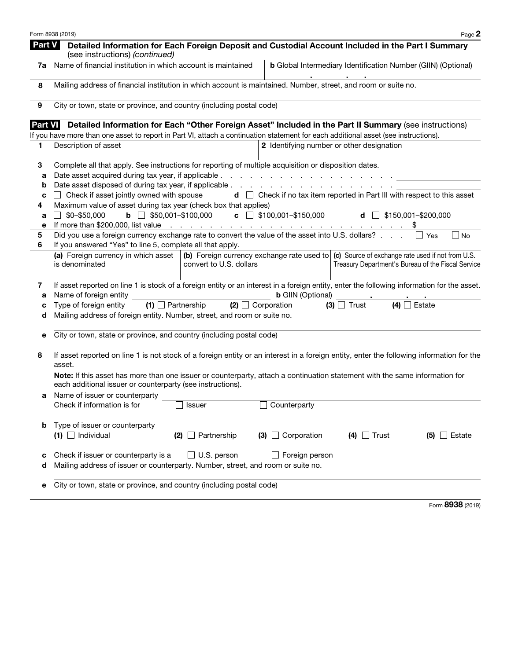|        | Form 8938 (2019)<br>Page 2                                                                                                                                                                                                                       |  |  |  |  |  |  |  |  |
|--------|--------------------------------------------------------------------------------------------------------------------------------------------------------------------------------------------------------------------------------------------------|--|--|--|--|--|--|--|--|
| Part V | Detailed Information for Each Foreign Deposit and Custodial Account Included in the Part I Summary<br>(see instructions) (continued)                                                                                                             |  |  |  |  |  |  |  |  |
| 7a     | Name of financial institution in which account is maintained<br><b>b</b> Global Intermediary Identification Number (GIIN) (Optional)                                                                                                             |  |  |  |  |  |  |  |  |
| 8      | Mailing address of financial institution in which account is maintained. Number, street, and room or suite no.                                                                                                                                   |  |  |  |  |  |  |  |  |
| 9      | City or town, state or province, and country (including postal code)                                                                                                                                                                             |  |  |  |  |  |  |  |  |
|        | Part VI Detailed Information for Each "Other Foreign Asset" Included in the Part II Summary (see instructions)                                                                                                                                   |  |  |  |  |  |  |  |  |
|        | If you have more than one asset to report in Part VI, attach a continuation statement for each additional asset (see instructions).                                                                                                              |  |  |  |  |  |  |  |  |
| 1      | Description of asset<br>2 Identifying number or other designation                                                                                                                                                                                |  |  |  |  |  |  |  |  |
| 3      | Complete all that apply. See instructions for reporting of multiple acquisition or disposition dates.                                                                                                                                            |  |  |  |  |  |  |  |  |
| а      | Date asset acquired during tax year, if applicable.<br>and a series and a series and a                                                                                                                                                           |  |  |  |  |  |  |  |  |
| b      | Date asset disposed of during tax year, if applicable                                                                                                                                                                                            |  |  |  |  |  |  |  |  |
| c      | Check if asset jointly owned with spouse<br>$\mathbf d$ $\Box$ Check if no tax item reported in Part III with respect to this asset                                                                                                              |  |  |  |  |  |  |  |  |
| 4      | Maximum value of asset during tax year (check box that applies)                                                                                                                                                                                  |  |  |  |  |  |  |  |  |
| а<br>е | $\Box$ \$0-\$50,000<br><b>b</b> $\Box$ \$50,001-\$100,000<br>c $\Box$ \$100,001-\$150,000<br><b>d</b> $\Box$ \$150,001-\$200,000                                                                                                                 |  |  |  |  |  |  |  |  |
| 5      | If more than \$200,000, list value $\cdots$ $\cdots$ $\cdots$ $\cdots$ $\cdots$ $\cdots$ $\cdots$ $\cdots$ $\cdots$ $\cdots$<br>Did you use a foreign currency exchange rate to convert the value of the asset into U.S. dollars? .<br>No<br>Yes |  |  |  |  |  |  |  |  |
| 6      | If you answered "Yes" to line 5, complete all that apply.                                                                                                                                                                                        |  |  |  |  |  |  |  |  |
|        | (a) Foreign currency in which asset<br>(b) Foreign currency exchange rate used to (c) Source of exchange rate used if not from U.S.<br>Treasury Department's Bureau of the Fiscal Service<br>is denominated<br>convert to U.S. dollars           |  |  |  |  |  |  |  |  |
| 7      | If asset reported on line 1 is stock of a foreign entity or an interest in a foreign entity, enter the following information for the asset.                                                                                                      |  |  |  |  |  |  |  |  |
| а      | Name of foreign entity<br><b>b</b> GIIN (Optional)                                                                                                                                                                                               |  |  |  |  |  |  |  |  |
| c<br>d | Type of foreign entity<br>$(1)$ Partnership<br>$(3)$ Trust<br>$(4)$ Estate<br>$(2)$ $\Box$ Corporation<br>Mailing address of foreign entity. Number, street, and room or suite no.                                                               |  |  |  |  |  |  |  |  |
|        |                                                                                                                                                                                                                                                  |  |  |  |  |  |  |  |  |
| е      | City or town, state or province, and country (including postal code)                                                                                                                                                                             |  |  |  |  |  |  |  |  |
| 8      | If asset reported on line 1 is not stock of a foreign entity or an interest in a foreign entity, enter the following information for the<br>asset.                                                                                               |  |  |  |  |  |  |  |  |
|        | Note: If this asset has more than one issuer or counterparty, attach a continuation statement with the same information for<br>each additional issuer or counterparty (see instructions).                                                        |  |  |  |  |  |  |  |  |
| а      | Name of issuer or counterparty                                                                                                                                                                                                                   |  |  |  |  |  |  |  |  |
|        | Counterparty<br>$\Box$ Issuer<br>Check if information is for                                                                                                                                                                                     |  |  |  |  |  |  |  |  |
| b      | Type of issuer or counterparty<br>$(4)$ Trust<br>$(1)$ $\Box$ Individual<br>$(2)$ Partnership<br>$\Box$ Corporation<br>$(5)$ Estate<br>(3)                                                                                                       |  |  |  |  |  |  |  |  |
| с      | $\Box$ U.S. person<br>Check if issuer or counterparty is a<br>Foreign person                                                                                                                                                                     |  |  |  |  |  |  |  |  |
| d      | Mailing address of issuer or counterparty. Number, street, and room or suite no.                                                                                                                                                                 |  |  |  |  |  |  |  |  |
| е      | City or town, state or province, and country (including postal code)                                                                                                                                                                             |  |  |  |  |  |  |  |  |
|        | $0000 \approx$                                                                                                                                                                                                                                   |  |  |  |  |  |  |  |  |

Form 8938 (2019)